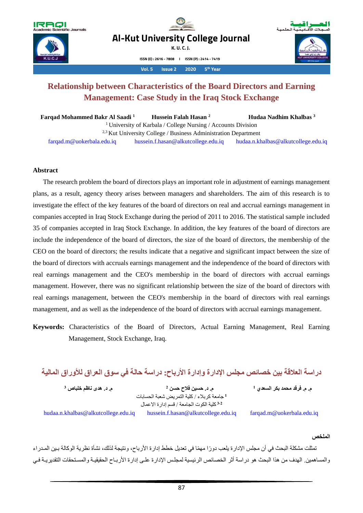

**Year th Farqad, Hussein and Hudaa – Relationship between ……. K. U. C. J. Vol. 5 Issue 2 2020 5 Pages 87-106 Al-Kut University College Journal**

**K. U. C. J.**

**ISSN (E) : 2616 - 7808 I ISSN (P) : 2414 - 7419** 

**Year th Vol. 5 Issue 2 2020 5**

# **Relationship between Characteristics of the Board Directors and Earning Management: Case Study in the Iraq Stock Exchange**

 **Farqad Mohammed Bakr Al Saadi <sup>1</sup> Hussein Falah Hasan <sup>2</sup> Hudaa Nadhim Khalbas <sup>3</sup>** <sup>1</sup>University of Karbala / College Nursing / Accounts Division  $2,3$  Kut University College / Business Administration Department [farqad.m@uokerbala.edu.iq](mailto:farqad.m@uokerbala.edu.iq) [hussein.f.hasan@alkutcollege.edu.iq](mailto:hussein.f.hasan@alkutcollege.edu.iq) [hudaa.n.khalbas@alkutcollege.edu.iq](mailto:hudaa.n.khalbas@alkutcollege.edu.iq)

# **Abstract**

 The research problem the board of directors plays an important role in adjustment of earnings management plans, as a result, agency theory arises between managers and shareholders. The aim of this research is to investigate the effect of the key features of the board of directors on real and accrual earnings management in companies accepted in Iraq Stock Exchange during the period of 2011 to 2016. The statistical sample included 35 of companies accepted in Iraq Stock Exchange. In addition, the key features of the board of directors are include the independence of the board of directors, the size of the board of directors, the membership of the CEO on the board of directors; the results indicate that a negative and significant impact between the size of the board of directors with accruals earnings management and the independence of the board of directors with real earnings management and the CEO's membership in the board of directors with accrual earnings management. However, there was no significant relationship between the size of the board of directors with real earnings management, between the CEO's membership in the board of directors with real earnings management, and as well as the independence of the board of directors with accrual earnings management.

**Keywords:** Characteristics of the Board of Directors, Actual Earning Management, Real Earning Management, Stock Exchange, Iraq.

**دراسة العالقة بين خصائص مجلس اإلدارة وإدارة األرباح: دراسة حالة في سوق العراق لألوراق المالية** 

 **م. د. هدى ناظم خلباص <sup>2</sup> 3**

 **م. د. حسين فالح حسن <sup>1</sup> 1** جامعة كربالء / كلية التمريض شعبة الحسابات كلية الكوت الجامعة / قسم إدارة االعمال **3،2**

[hudaa.n.khalbas@alkutcollege.edu.iq](mailto:hudaa.n.khalbas@alkutcollege.edu.iq) [hussein.f.hasan@alkutcollege.edu.iq](mailto:hussein.f.hasan@alkutcollege.edu.iq) [farqad.m@uokerbala.edu.iq](mailto:farqad.m@uokerbala.edu.iq) 

 **م. م. فرقد محمد بكر السعدي** 

## **الملخص**

 تمثلت مشكلة البحث في أن مجلس اإلدارة يلعب دو ًرا مهًما في تعديل خطط إدارة األرباح، ونتيجة لذلك، نشأة نظرية الوكالة بيي الميدراء والمساهمين. الهدف من هذا البحث هو دراسة أثر الخصائص الرئيسية لمجلس الإدارة علـي إدارة الأربــاح الحقيقيـة والمستحقات التقديريـة فـي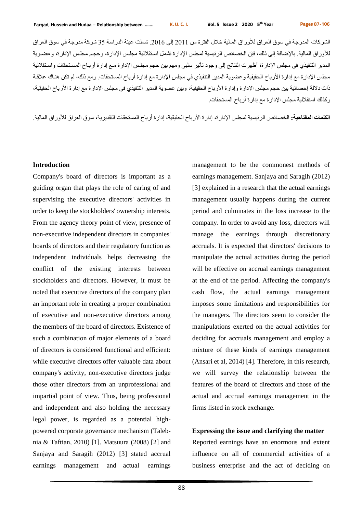الشركات المدرجة في سوق العراق للأوراق المالية خلال الفترة من 2011 إلى 2016. شملت عينة الدراسة 35 شركة مدرجة في سوق العراق للأوراق المالية. بالإضافة إلى ذلك، فإن الخصائص الرئيسية لمجلس الإدارة تشمل استقلالية مجلس الإدارة، وحجـم مجلس الإدار ة، و عضـوية المدير التنفيذي في مجلس الإدارة؛ أظهرت النتائج إلى وجود تأثير سلبي ومهم بين حجم مجلس الإدارة مـع إدارة أربـاح المستحقات واستقلالية مجلس الإدارة مع إدارة الأرباح الحقيقية وعضوية المدير التنفيذي في مجلس الإدارة مع إدارة أرباح المستحقات. ومع ذلك، لم تكن هنـاك علاقـة ذات دلالة إحصائية بين حجم مجلس الإدارة وإدارة الأرباح الحقيقية، وبين عضوية المدير التنفيذي في مجلس الإدارة مع إدارة الأرباح الحقيقية، وكذلك استقلالية مجلس الإدار ة مع إدار ة أر باح المستحقات.

ا**لكلمات المفتاحية:** الخصائص الرئيسية لمجلس الإدارة، إدارة الأرباح الحقيقية، إدارة أرباح المستحقات التقديرية، سوق العراق للأوراق المالية<sub>.</sub>

### **Introduction**

Company's board of directors is important as a guiding organ that plays the role of caring of and supervising the executive directors' activities in order to keep the stockholders' ownership interests. From the agency theory point of view, presence of non-executive independent directors in companies' boards of directors and their regulatory function as independent individuals helps decreasing the conflict of the existing interests between stockholders and directors. However, it must be noted that executive directors of the company plan an important role in creating a proper combination of executive and non-executive directors among the members of the board of directors. Existence of such a combination of major elements of a board of directors is considered functional and efficient: while executive directors offer valuable data about company's activity, non-executive directors judge those other directors from an unprofessional and impartial point of view. Thus, being professional and independent and also holding the necessary legal power, is regarded as a potential highpowered corporate governance mechanism (Talebnia & Taftian, 2010) [1]. Matsuura (2008) [2] and Sanjaya and Saragih (2012) [3] stated accrual earnings management and actual earnings

management to be the commonest methods of earnings management. Sanjaya and Saragih (2012) [3] explained in a research that the actual earnings management usually happens during the current period and culminates in the loss increase to the company. In order to avoid any loss, directors will manage the earnings through discretionary accruals. It is expected that directors' decisions to manipulate the actual activities during the period will be effective on accrual earnings management at the end of the period. Affecting the company's cash flow, the actual earnings management imposes some limitations and responsibilities for the managers. The directors seem to consider the manipulations exerted on the actual activities for deciding for accruals management and employ a mixture of these kinds of earnings management (Ansari et al, 2014) [4]. Therefore, in this research, we will survey the relationship between the features of the board of directors and those of the actual and accrual earnings management in the firms listed in stock exchange.

#### **Expressing the issue and clarifying the matter**

Reported earnings have an enormous and extent influence on all of commercial activities of a business enterprise and the act of deciding on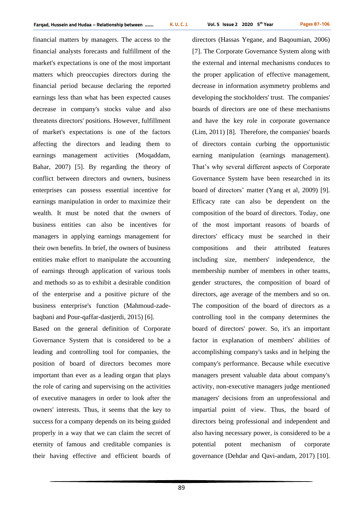financial matters by managers. The access to the financial analysts forecasts and fulfillment of the market's expectations is one of the most important matters which preoccupies directors during the financial period because declaring the reported earnings less than what has been expected causes decrease in company's stocks value and also threatens directors' positions. However, fulfillment of market's expectations is one of the factors affecting the directors and leading them to earnings management activities (Moqaddam, Bahar, 2007) [5]. By regarding the theory of conflict between directors and owners, business enterprises can possess essential incentive for earnings manipulation in order to maximize their wealth. It must be noted that the owners of business entities can also be incentives for managers in applying earnings management for their own benefits. In brief, the owners of business entities make effort to manipulate the accounting of earnings through application of various tools and methods so as to exhibit a desirable condition of the enterprise and a positive picture of the business enterprise's function (Mahmoud-zadebaqbani and Pour-qaffar-dastjerdi, 2015) [6].

Based on the general definition of Corporate Governance System that is considered to be a leading and controlling tool for companies, the position of board of directors becomes more important than ever as a leading organ that plays the role of caring and supervising on the activities of executive managers in order to look after the owners' interests. Thus, it seems that the key to success for a company depends on its being guided properly in a way that we can claim the secret of eternity of famous and creditable companies is their having effective and efficient boards of directors (Hassas Yegane, and Baqoumian, 2006) [7]. The Corporate Governance System along with the external and internal mechanisms conduces to the proper application of effective management, decrease in information asymmetry problems and developing the stockholders' trust. The companies' boards of directors are one of these mechanisms and have the key role in corporate governance (Lim, 2011) [8]. Therefore, the companies' boards of directors contain curbing the opportunistic earning manipulation (earnings management). That's why several different aspects of Corporate Governance System have been researched in its board of directors' matter (Yang et al, 2009) [9]. Efficacy rate can also be dependent on the composition of the board of directors. Today, one of the most important reasons of boards of directors' efficacy must be searched in their compositions and their attributed features including size, members' independence, the membership number of members in other teams, gender structures, the composition of board of directors, age average of the members and so on. The composition of the board of directors as a controlling tool in the company determines the board of directors' power. So, it's an important factor in explanation of members' abilities of accomplishing company's tasks and in helping the company's performance. Because while executive managers present valuable data about company's activity, non-executive managers judge mentioned managers' decisions from an unprofessional and impartial point of view. Thus, the board of directors being professional and independent and also having necessary power, is considered to be a potential potent mechanism of corporate governance (Dehdar and Qavi-andam, 2017) [10].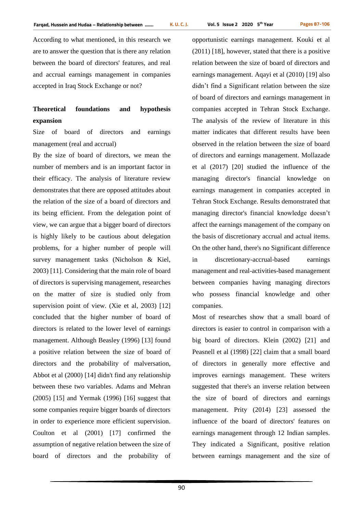According to what mentioned, in this research we are to answer the question that is there any relation between the board of directors' features, and real and accrual earnings management in companies accepted in Iraq Stock Exchange or not?

# **Theoretical foundations and hypothesis expansion**

Size of board of directors and earnings management (real and accrual)

By the size of board of directors, we mean the number of members and is an important factor in their efficacy. The analysis of literature review demonstrates that there are opposed attitudes about the relation of the size of a board of directors and its being efficient. From the delegation point of view, we can argue that a bigger board of directors is highly likely to be cautious about delegation problems, for a higher number of people will survey management tasks (Nicholson & Kiel, 2003) [11]. Considering that the main role of board of directors is supervising management, researches on the matter of size is studied only from supervision point of view. (Xie et al, 2003) [12] concluded that the higher number of board of directors is related to the lower level of earnings management. Although Beasley (1996) [13] found a positive relation between the size of board of directors and the probability of malversation, Abbot et al (2000) [14] didn't find any relationship between these two variables. Adams and Mehran (2005) [15] and Yermak (1996) [16] suggest that some companies require bigger boards of directors in order to experience more efficient supervision. Coulton et al (2001) [17] confirmed the assumption of negative relation between the size of board of directors and the probability of

opportunistic earnings management. Kouki et al (2011) [18], however, stated that there is a positive relation between the size of board of directors and earnings management. Aqayi et al (2010) [19] also didn't find a Significant relation between the size of board of directors and earnings management in companies accepted in Tehran Stock Exchange. The analysis of the review of literature in this matter indicates that different results have been observed in the relation between the size of board of directors and earnings management. Mollazade et al (2017) [20] studied the influence of the managing director's financial knowledge on earnings management in companies accepted in Tehran Stock Exchange. Results demonstrated that managing director's financial knowledge doesn't affect the earnings management of the company on the basis of discretionary accrual and actual items. On the other hand, there's no Significant difference in discretionary-accrual-based earnings management and real-activities-based management between companies having managing directors who possess financial knowledge and other companies.

Most of researches show that a small board of directors is easier to control in comparison with a big board of directors. Klein (2002) [21] and Peasnell et al (1998) [22] claim that a small board of directors in generally more effective and improves earnings management. These writers suggested that there's an inverse relation between the size of board of directors and earnings management. Prity (2014) [23] assessed the influence of the board of directors' features on earnings management through 12 Indian samples. They indicated a Significant, positive relation between earnings management and the size of

90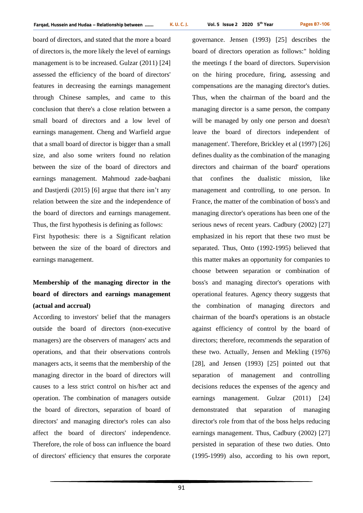board of directors, and stated that the more a board of directors is, the more likely the level of earnings management is to be increased. Gulzar (2011) [24] assessed the efficiency of the board of directors' features in decreasing the earnings management through Chinese samples, and came to this conclusion that there's a close relation between a small board of directors and a low level of earnings management. Cheng and Warfield argue that a small board of director is bigger than a small size, and also some writers found no relation between the size of the board of directors and earnings management. Mahmoud zade-baqbani and Dastjerdi (2015) [6] argue that there isn't any relation between the size and the independence of the board of directors and earnings management. Thus, the first hypothesis is defining as follows: First hypothesis: there is a Significant relation between the size of the board of directors and earnings management.

# **Membership of the managing director in the board of directors and earnings management (actual and accrual)**

According to investors' belief that the managers outside the board of directors (non-executive managers) are the observers of managers' acts and operations, and that their observations controls managers acts, it seems that the membership of the managing director in the board of directors will causes to a less strict control on his/her act and operation. The combination of managers outside the board of directors, separation of board of directors' and managing director's roles can also affect the board of directors' independence. Therefore, the role of boss can influence the board of directors' efficiency that ensures the corporate

governance. Jensen (1993) [25] describes the board of directors operation as follows:" holding the meetings f the board of directors. Supervision on the hiring procedure, firing, assessing and compensations are the managing director's duties. Thus, when the chairman of the board and the managing director is a same person, the company will be managed by only one person and doesn't leave the board of directors independent of management'. Therefore, Brickley et al (1997) [26] defines duality as the combination of the managing directors and chairman of the board' operations that confines the dualistic mission, like management and controlling, to one person. In France, the matter of the combination of boss's and managing director's operations has been one of the serious news of recent years. Cadbury (2002) [27] emphasized in his report that these two must be separated. Thus, Onto (1992-1995) believed that this matter makes an opportunity for companies to choose between separation or combination of boss's and managing director's operations with operational features. Agency theory suggests that the combination of managing directors and chairman of the board's operations is an obstacle against efficiency of control by the board of directors; therefore, recommends the separation of these two. Actually, Jensen and Mekling (1976) [28], and Jensen (1993) [25] pointed out that separation of management and controlling decisions reduces the expenses of the agency and earnings management. Gulzar (2011) [24] demonstrated that separation of managing director's role from that of the boss helps reducing earnings management. Thus, Cadbury (2002) [27] persisted in separation of these two duties. Onto (1995-1999) also, according to his own report,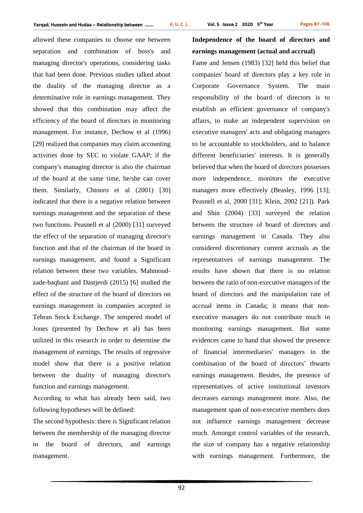allowed these companies to choose one between separation and combination of boss's and managing director's operations, considering tasks that had been done. Previous studies talked about the duality of the managing director as a determinative role in earnings management. They showed that this combination may affect the efficiency of the board of directors in monitoring management. For instance, Dechow et al (1996) [29] realized that companies may claim accounting activities done by SEC to violate GAAP; if the company's managing director is also the chairman of the board at the same time, he/she can cover them. Similarly, Chtouro et al (2001) [30] indicated that there is a negative relation between earnings management and the separation of these two functions. Peasnell et al (2000) [31] surveyed the effect of the separation of managing director's function and that of the chairman of the board in earnings management, and found a Significant relation between these two variables. Mahmoudzade-baqbani and Dastjerdi (2015) [6] studied the effect of the structure of the board of directors on earnings management in companies accepted in Tehran Stock Exchange. The tempered model of Jones (presented by Dechow et al) has been utilized in this research in order to determine the management of earnings. The results of regressive model show that there is a positive relation between the duality of managing director's function and earnings management.

According to what has already been said, two following hypotheses will be defined:

The second hypothesis: there is Significant relation between the membership of the managing director in the board of directors, and earnings management.

# **Independence of the board of directors and earnings management (actual and accrual)**

Fame and Jensen (1983) [32] held this belief that companies' board of directors play a key role in Corporate Governance System. The main responsibility of the board of directors is to establish an efficient governance of company's affairs, to make an independent supervision on executive managers' acts and obligating managers to be accountable to stockholders, and to balance different beneficiaries' interests. It is generally believed that when the board of directors possesses more independence, monitors the executive managers more effectively (Beasley, 1996 [13]; Peasnell et al, 2000 [31]; Klein, 2002 [21]). Park and Shin (2004) [33] surveyed the relation between the structure of board of directors and earnings management in Canada. They also considered discretionary current accruals as the representatives of earnings management. The results have shown that there is no relation between the ratio of non-executive managers of the board of directors and the manipulation rate of accrual items in Canada; it means that nonexecutive managers do not contribute much in monitoring earnings management. But some evidences came to hand that showed the presence of financial intermediaries' managers in the combination of the board of directors' thwarts earnings management. Besides, the presence of representatives of active institutional investors decreases earnings management more. Also, the management span of non-executive members does not influence earnings management decrease much. Amongst control variables of the research, the size of company has a negative relationship with earnings management. Furthermore, the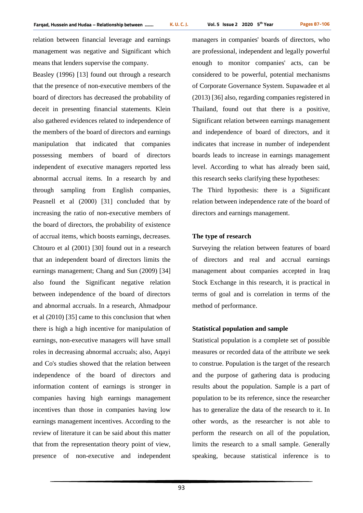relation between financial leverage and earnings management was negative and Significant which means that lenders supervise the company.

Beasley (1996) [13] found out through a research that the presence of non-executive members of the board of directors has decreased the probability of deceit in presenting financial statements. Klein also gathered evidences related to independence of the members of the board of directors and earnings manipulation that indicated that companies possessing members of board of directors independent of executive managers reported less abnormal accrual items. In a research by and through sampling from English companies, Peasnell et al (2000) [31] concluded that by increasing the ratio of non-executive members of the board of directors, the probability of existence of accrual items, which boosts earnings, decreases. Chtouro et al (2001) [30] found out in a research that an independent board of directors limits the earnings management; Chang and Sun (2009) [34] also found the Significant negative relation between independence of the board of directors and abnormal accruals. In a research, Ahmadpour et al (2010) [35] came to this conclusion that when there is high a high incentive for manipulation of earnings, non-executive managers will have small roles in decreasing abnormal accruals; also, Aqayi and Co's studies showed that the relation between independence of the board of directors and information content of earnings is stronger in companies having high earnings management incentives than those in companies having low earnings management incentives. According to the review of literature it can be said about this matter that from the representation theory point of view, presence of non-executive and independent managers in companies' boards of directors, who are professional, independent and legally powerful enough to monitor companies' acts, can be considered to be powerful, potential mechanisms of Corporate Governance System. Supawadee et al (2013) [36] also, regarding companies registered in Thailand, found out that there is a positive, Significant relation between earnings management and independence of board of directors, and it indicates that increase in number of independent boards leads to increase in earnings management level. According to what has already been said, this research seeks clarifying these hypotheses:

The Third hypothesis: there is a Significant relation between independence rate of the board of directors and earnings management.

### **The type of research**

Surveying the relation between features of board of directors and real and accrual earnings management about companies accepted in Iraq Stock Exchange in this research, it is practical in terms of goal and is correlation in terms of the method of performance.

#### **Statistical population and sample**

Statistical population is a complete set of possible measures or recorded data of the attribute we seek to construe. Population is the target of the research and the purpose of gathering data is producing results about the population. Sample is a part of population to be its reference, since the researcher has to generalize the data of the research to it. In other words, as the researcher is not able to perform the research on all of the population, limits the research to a small sample. Generally speaking, because statistical inference is to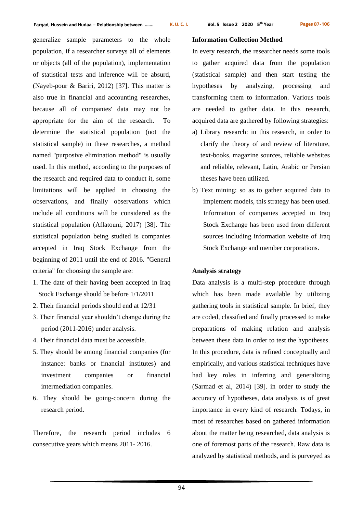generalize sample parameters to the whole population, if a researcher surveys all of elements or objects (all of the population), implementation of statistical tests and inference will be absurd, (Nayeb-pour & Bariri, 2012) [37]. This matter is also true in financial and accounting researches, because all of companies' data may not be appropriate for the aim of the research. To determine the statistical population (not the statistical sample) in these researches, a method named "purposive elimination method" is usually used. In this method, according to the purposes of the research and required data to conduct it, some limitations will be applied in choosing the observations, and finally observations which include all conditions will be considered as the statistical population (Aflatouni, 2017) [38]. The statistical population being studied is companies accepted in Iraq Stock Exchange from the beginning of 2011 until the end of 2016. "General criteria" for choosing the sample are:

- 1. The date of their having been accepted in Iraq Stock Exchange should be before 1/1/2011
- 2. Their financial periods should end at 12/31
- 3. Their financial year shouldn't change during the period (2011-2016) under analysis.
- 4. Their financial data must be accessible.
- 5. They should be among financial companies (for instance: banks or financial institutes) and investment companies or financial intermediation companies.
- 6. They should be going-concern during the research period.

Therefore, the research period includes 6 consecutive years which means 2011- 2016.

## **Information Collection Method**

In every research, the researcher needs some tools to gather acquired data from the population (statistical sample) and then start testing the hypotheses by analyzing, processing and transforming them to information. Various tools are needed to gather data. In this research, acquired data are gathered by following strategies:

- a) Library research: in this research, in order to clarify the theory of and review of literature, text-books, magazine sources, reliable websites and reliable, relevant, Latin, Arabic or Persian theses have been utilized.
- b) Text mining: so as to gather acquired data to implement models, this strategy has been used. Information of companies accepted in Iraq Stock Exchange has been used from different sources including information website of Iraq Stock Exchange and member corporations.

#### **Analysis strategy**

Data analysis is a multi-step procedure through which has been made available by utilizing gathering tools in statistical sample. In brief, they are coded, classified and finally processed to make preparations of making relation and analysis between these data in order to test the hypotheses. In this procedure, data is refined conceptually and empirically, and various statistical techniques have had key roles in inferring and generalizing (Sarmad et al, 2014) [39]. in order to study the accuracy of hypotheses, data analysis is of great importance in every kind of research. Todays, in most of researches based on gathered information about the matter being researched, data analysis is one of foremost parts of the research. Raw data is analyzed by statistical methods, and is purveyed as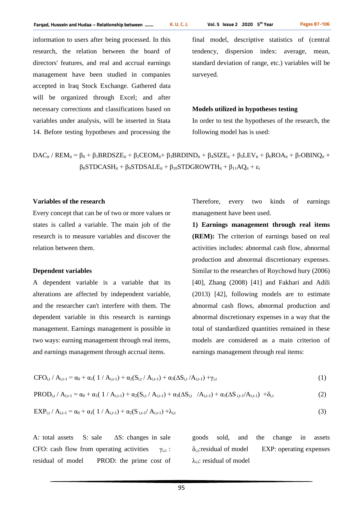information to users after being processed. In this research, the relation between the board of directors' features, and real and accrual earnings management have been studied in companies accepted in Iraq Stock Exchange. Gathered data will be organized through Excel; and after necessary corrections and classifications based on variables under analysis, will be inserted in Stata 14. Before testing hypotheses and processing the

final model, descriptive statistics of (central tendency, dispersion index: average, mean, standard deviation of range, etc.) variables will be surveyed.

#### **Models utilized in hypotheses testing**

In order to test the hypotheses of the research, the following model has is used:

$$
DAC_{it} / REM_{it} = \beta_0 + \beta_1 BRDSZE_{it} + \beta_2 CEOM_{it} + \beta_3 BRDIND_{it} + \beta_4 SIZE_{it} + \beta_5 LEV_{it} + \beta_6 ROA_{it} + \beta_7 OBINQ_{it} + \beta_8 STDCASH_{it} + \beta_9 STDSALE_{it} + \beta_{10} STDGROWTH_{it} + \beta_{11} AQ_{it} + \epsilon_i
$$

#### **Variables of the research**

Every concept that can be of two or more values or states is called a variable. The main job of the research is to measure variables and discover the relation between them.

#### **Dependent variables**

A dependent variable is a variable that its alterations are affected by independent variable, and the researcher can't interfere with them. The dependent variable in this research is earnings management. Earnings management is possible in two ways: earning management through real items, and earnings management through accrual items.

Therefore, every two kinds of earnings management have been used.

**1) Earnings management through real items (REM):** The criterion of earnings based on real activities includes: abnormal cash flow, abnormal production and abnormal discretionary expenses. Similar to the researches of Roychowd hury (2006) [40], Zhang (2008) [41] and Fakhari and Adili (2013) [42], following models are to estimate abnormal cash flows, abnormal production and abnormal discretionary expenses in a way that the total of standardized quantities remained in these models are considered as a main criterion of earnings management through real items:

$$
CFO_{i,t} / A_{i,t-1} = \alpha_0 + \alpha_1 (1 / A_{i,t-1}) + \alpha_2 (S_{i,t} / A_{i,t-1}) + \alpha_3 (\Delta S_{i,t} / A_{i,t-1}) + \gamma_{i,t}
$$
\n(1)

$$
PROD_{i,t} / A_{i,t-1} = \alpha_0 + \alpha_1 (1/A_{i,t-1}) + \alpha_2 (S_{i,t} / A_{i,t-1}) + \alpha_3 (\Delta S_{i,t} / A_{i,t-1}) + \alpha_3 (\Delta S_{i,t-1} / A_{i,t-1}) + \delta_{i,t}
$$
(2)

$$
EXP_{i,t}/A_{i,t-1} = \alpha_0 + \alpha_1(1/A_{i,t-1}) + \alpha_2(S_{i,t-1}/A_{i,t-1}) + \lambda_{i,t}
$$
\n(3)

A: total assets S: sale ∆S: changes in sale CFO: cash flow from operating activities  $\gamma_{i,t}$ : residual of model PROD: the prime cost of goods sold, and the change in assets  $\delta_{i,t}$ :residual of model EXP: operating expenses  $\lambda_{i,t}$ : residual of model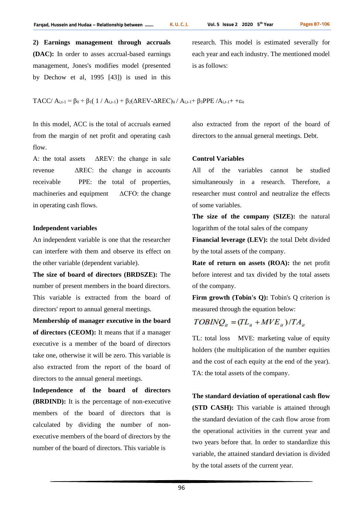**2) Earnings management through accruals (DAC):** In order to asses accrual-based earnings management, Jones's modifies model (presented by Dechow et al, 1995 [43]) is used in this research. This model is estimated severally for each year and each industry. The mentioned model is as follows:

TACC/  $A_{i,t-1} = \beta_0 + \beta_1(1/A_{i,t-1}) + \beta_2(\Delta REV-AREC)_{it}/A_{i,t-1} + \beta_3 PPE/A_{i,t-1} + \epsilon_{it}$ 

In this model, ACC is the total of accruals earned from the margin of net profit and operating cash flow.

A: the total assets ΔREV: the change in sale revenue ΔREC: the change in accounts receivable PPE: the total of properties, machineries and equipment  $\triangle$   $\triangle$ CFO: the change in operating cash flows.

#### **Independent variables**

An independent variable is one that the researcher can interfere with them and observe its effect on the other variable (dependent variable).

**The size of board of directors (BRDSZE):** The number of present members in the board directors. This variable is extracted from the board of directors' report to annual general meetings.

**Membership of manager executive in the board of directors (CEOM):** It means that if a manager executive is a member of the board of directors take one, otherwise it will be zero. This variable is also extracted from the report of the board of directors to the annual general meetings.

**Independence of the board of directors (BRDIND):** It is the percentage of non-executive members of the board of directors that is calculated by dividing the number of nonexecutive members of the board of directors by the number of the board of directors. This variable is

also extracted from the report of the board of directors to the annual general meetings. Debt.

#### **Control Variables**

All of the variables cannot be studied simultaneously in a research. Therefore, a researcher must control and neutralize the effects of some variables.

**The size of the company (SIZE):** the natural logarithm of the total sales of the company

**Financial leverage (LEV):** the total Debt divided by the total assets of the company.

**Rate of return on assets (ROA):** the net profit before interest and tax divided by the total assets of the company.

**Firm growth (Tobin's O):** Tobin's O criterion is measured through the equation below:

# $TOBINQ_{ii} = (TL_{ii} + MVE_{ii})/TA_{ii}$

TL: total loss MVE: marketing value of equity holders (the multiplication of the number equities and the cost of each equity at the end of the year). TA: the total assets of the company.

**The standard deviation of operational cash flow (STD CASH):** This variable is attained through the standard deviation of the cash flow arose from the operational activities in the current year and two years before that. In order to standardize this variable, the attained standard deviation is divided by the total assets of the current year.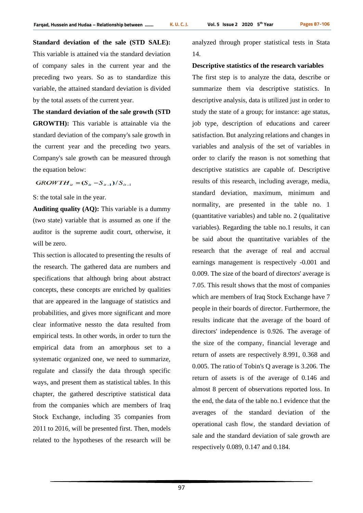**Standard deviation of the sale (STD SALE):** This variable is attained via the standard deviation of company sales in the current year and the preceding two years. So as to standardize this variable, the attained standard deviation is divided by the total assets of the current year.

**The standard deviation of the sale growth (STD GROWTH):** This variable is attainable via the standard deviation of the company's sale growth in the current year and the preceding two years. Company's sale growth can be measured through the equation below:

 $GROWTH_{it} = (S_{it} - S_{it-1})/S_{it-1}$ 

S: the total sale in the year.

**Auditing quality (AQ):** This variable is a dummy (two state) variable that is assumed as one if the auditor is the supreme audit court, otherwise, it will be zero.

This section is allocated to presenting the results of the research. The gathered data are numbers and specifications that although bring about abstract concepts, these concepts are enriched by qualities that are appeared in the language of statistics and probabilities, and gives more significant and more clear informative nessto the data resulted from empirical tests. In other words, in order to turn the empirical data from an amorphous set to a systematic organized one, we need to summarize, regulate and classify the data through specific ways, and present them as statistical tables. In this chapter, the gathered descriptive statistical data from the companies which are members of Iraq Stock Exchange, including 35 companies from 2011 to 2016, will be presented first. Then, models related to the hypotheses of the research will be

analyzed through proper statistical tests in Stata 14.

#### **Descriptive statistics of the research variables**

The first step is to analyze the data, describe or summarize them via descriptive statistics. In descriptive analysis, data is utilized just in order to study the state of a group; for instance: age status, job type, description of educations and career satisfaction. But analyzing relations and changes in variables and analysis of the set of variables in order to clarify the reason is not something that descriptive statistics are capable of. Descriptive results of this research, including average, media, standard deviation, maximum, minimum and normality, are presented in the table no. 1 (quantitative variables) and table no. 2 (qualitative variables). Regarding the table no.1 results, it can be said about the quantitative variables of the research that the average of real and accrual earnings management is respectively -0.001 and 0.009. The size of the board of directors' average is 7.05. This result shows that the most of companies which are members of Iraq Stock Exchange have 7 people in their boards of director. Furthermore, the results indicate that the average of the board of directors' independence is 0.926. The average of the size of the company, financial leverage and return of assets are respectively 8.991, 0.368 and 0.005. The ratio of Tobin's Q average is 3.206. The return of assets is of the average of 0.146 and almost 8 percent of observations reported loss. In the end, the data of the table no.1 evidence that the averages of the standard deviation of the operational cash flow, the standard deviation of sale and the standard deviation of sale growth are respectively 0.089, 0.147 and 0.184.

97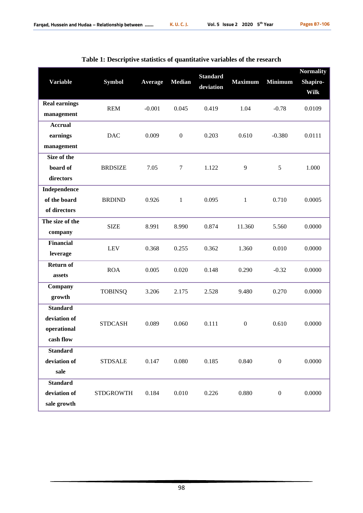|                      |                  |          |                  | <b>Standard</b> |                  |                  | <b>Normality</b> |
|----------------------|------------------|----------|------------------|-----------------|------------------|------------------|------------------|
| <b>Variable</b>      | <b>Symbol</b>    | Average  | <b>Median</b>    |                 | <b>Maximum</b>   | <b>Minimum</b>   | Shapiro-         |
|                      |                  |          |                  | deviation       |                  |                  | <b>Wilk</b>      |
| <b>Real earnings</b> | <b>REM</b>       | $-0.001$ | 0.045            | 0.419           | 1.04             | $-0.78$          | 0.0109           |
| management           |                  |          |                  |                 |                  |                  |                  |
| <b>Accrual</b>       |                  |          |                  |                 |                  |                  |                  |
| earnings             | <b>DAC</b>       | 0.009    | $\boldsymbol{0}$ | 0.203           | 0.610            | $-0.380$         | 0.0111           |
| management           |                  |          |                  |                 |                  |                  |                  |
| Size of the          |                  |          |                  |                 |                  |                  |                  |
| board of             | <b>BRDSIZE</b>   | 7.05     | $\tau$           | 1.122           | 9                | 5                | 1.000            |
| directors            |                  |          |                  |                 |                  |                  |                  |
| Independence         |                  |          |                  |                 |                  |                  |                  |
| of the board         | <b>BRDIND</b>    | 0.926    | $\mathbf{1}$     | 0.095           | $\mathbf{1}$     | 0.710            | 0.0005           |
| of directors         |                  |          |                  |                 |                  |                  |                  |
| The size of the      | <b>SIZE</b>      | 8.991    | 8.990            | 0.874           | 11.360           | 5.560            | 0.0000           |
| company              |                  |          |                  |                 |                  |                  |                  |
| <b>Financial</b>     | <b>LEV</b>       | 0.368    | 0.255            | 0.362           | 1.360            | 0.010            | 0.0000           |
| leverage             |                  |          |                  |                 |                  |                  |                  |
| <b>Return of</b>     | <b>ROA</b>       | 0.005    | 0.020            | 0.148           | 0.290            | $-0.32$          | 0.0000           |
| assets               |                  |          |                  |                 |                  |                  |                  |
| Company              | <b>TOBINSQ</b>   | 3.206    | 2.175            | 2.528           | 9.480            | 0.270            | 0.0000           |
| growth               |                  |          |                  |                 |                  |                  |                  |
| <b>Standard</b>      |                  |          |                  |                 |                  |                  |                  |
| deviation of         | <b>STDCASH</b>   | 0.089    | 0.060            | 0.111           | $\boldsymbol{0}$ | 0.610            | 0.0000           |
| operational          |                  |          |                  |                 |                  |                  |                  |
| cash flow            |                  |          |                  |                 |                  |                  |                  |
| <b>Standard</b>      |                  |          |                  |                 |                  |                  |                  |
| deviation of         | <b>STDSALE</b>   | 0.147    | 0.080            | 0.185           | 0.840            | $\boldsymbol{0}$ | 0.0000           |
| sale                 |                  |          |                  |                 |                  |                  |                  |
| <b>Standard</b>      |                  |          |                  |                 |                  |                  |                  |
| deviation of         | <b>STDGROWTH</b> | 0.184    | 0.010            | 0.226           | 0.880            | $\mathbf{0}$     | 0.0000           |
| sale growth          |                  |          |                  |                 |                  |                  |                  |

| Table 1: Descriptive statistics of quantitative variables of the research |  |  |  |
|---------------------------------------------------------------------------|--|--|--|
|---------------------------------------------------------------------------|--|--|--|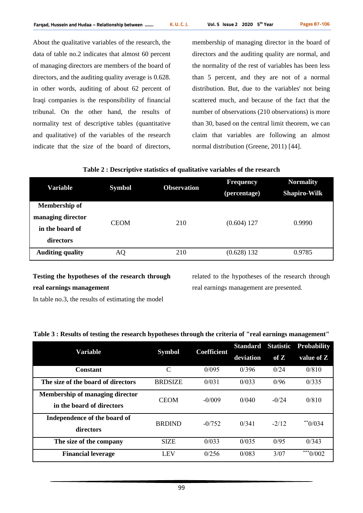About the qualitative variables of the research, the data of table no.2 indicates that almost 60 percent of managing directors are members of the board of directors, and the auditing quality average is 0.628. in other words, auditing of about 62 percent of Iraqi companies is the responsibility of financial tribunal. On the other hand, the results of normality test of descriptive tables (quantitative and qualitative) of the variables of the research indicate that the size of the board of directors,

membership of managing director in the board of directors and the auditing quality are normal, and the normality of the rest of variables has been less than 5 percent, and they are not of a normal distribution. But, due to the variables' not being scattered much, and because of the fact that the number of observations (210 observations) is more than 30, based on the central limit theorem, we can claim that variables are following an almost normal distribution (Greene, 2011) [44].

| Variable                | <b>Symbol</b> | <b>Observation</b> | <b>Frequency</b><br>(percentage) | <b>Normality</b><br><b>Shapiro-Wilk</b> |  |
|-------------------------|---------------|--------------------|----------------------------------|-----------------------------------------|--|
| <b>Membership of</b>    |               |                    |                                  |                                         |  |
| managing director       | <b>CEOM</b>   | 210                | $(0.604)$ 127                    | 0.9990                                  |  |
| in the board of         |               |                    |                                  |                                         |  |
| directors               |               |                    |                                  |                                         |  |
| <b>Auditing quality</b> | AQ            | 210                | $(0.628)$ 132                    | 0.9785                                  |  |

# **Testing the hypotheses of the research through real earnings management**

In table no.3, the results of estimating the model

related to the hypotheses of the research through real earnings management are presented.

## **Table 3 : Results of testing the research hypotheses through the criteria of "real earnings management"**

| Variable                                                            | <b>Symbol</b>  | <b>Coefficient</b> | <b>Standard</b> | <b>Statistic</b> | <b>Probability</b> |
|---------------------------------------------------------------------|----------------|--------------------|-----------------|------------------|--------------------|
|                                                                     |                |                    | deviation       | of $Z$           | value of Z         |
| <b>Constant</b>                                                     | C              | 0/095              | 0/396           | 0/24             | 0/810              |
| The size of the board of directors                                  | <b>BRDSIZE</b> | 0/031              | 0/033           | 0/96             | 0/335              |
| <b>Membership of managing director</b><br>in the board of directors | <b>CEOM</b>    | $-0/009$           | 0/040           | $-0/24$          | 0/810              |
| Independence of the board of<br>directors                           | <b>BRDIND</b>  | $-0/752$           | 0/341           | $-2/12$          | $*$ $0/034$        |
| The size of the company                                             | <b>SIZE</b>    | 0/033              | 0/035           | 0/95             | 0/343              |
| <b>Financial leverage</b>                                           | <b>LEV</b>     | 0/256              | 0/083           | 3/07             | $***0/002$         |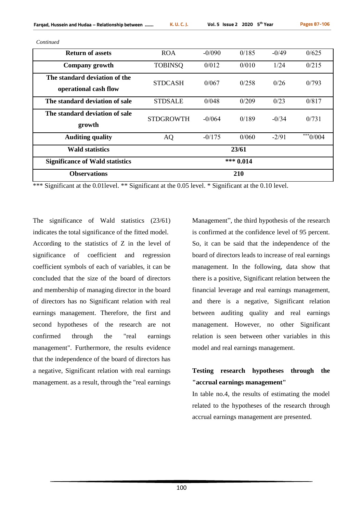*Continued*

| <b>Return of assets</b>                                | <b>ROA</b>       | $-0/090$ | 0/185       | $-0/49$ | 0/625                 |
|--------------------------------------------------------|------------------|----------|-------------|---------|-----------------------|
| Company growth                                         | <b>TOBINSQ</b>   | 0/012    | 0/010       | 1/24    | 0/215                 |
| The standard deviation of the<br>operational cash flow | <b>STDCASH</b>   | 0/067    | 0/258       | 0/26    | 0/793                 |
| The standard deviation of sale                         | <b>STDSALE</b>   | 0/048    | 0/209       | 0/23    | 0/817                 |
| The standard deviation of sale<br>growth               | <b>STDGROWTH</b> | $-0/064$ | 0/189       | $-0/34$ | 0/731                 |
| <b>Auditing quality</b>                                | AQ               | $-0/175$ | 0/060       | $-2/91$ | $**$ <sup>0/004</sup> |
| <b>Wald statistics</b>                                 |                  |          | 23/61       |         |                       |
| <b>Significance of Wald statistics</b>                 |                  |          | *** $0.014$ |         |                       |
| <b>Observations</b>                                    |                  |          | 210         |         |                       |

\*\*\* Significant at the 0.01 level. \*\* Significant at the 0.05 level. \* Significant at the 0.10 level.

The significance of Wald statistics (23/61) indicates the total significance of the fitted model. According to the statistics of Z in the level of significance of coefficient and regression coefficient symbols of each of variables, it can be concluded that the size of the board of directors and membership of managing director in the board of directors has no Significant relation with real earnings management. Therefore, the first and second hypotheses of the research are not confirmed through the "real earnings management". Furthermore, the results evidence that the independence of the board of directors has a negative, Significant relation with real earnings management. as a result, through the "real earnings

Management", the third hypothesis of the research is confirmed at the confidence level of 95 percent. So, it can be said that the independence of the board of directors leads to increase of real earnings management. In the following, data show that there is a positive, Significant relation between the financial leverage and real earnings management, and there is a negative, Significant relation between auditing quality and real earnings management. However, no other Significant relation is seen between other variables in this model and real earnings management.

# **Testing research hypotheses through the "accrual earnings management"**

In table no.4, the results of estimating the model related to the hypotheses of the research through accrual earnings management are presented.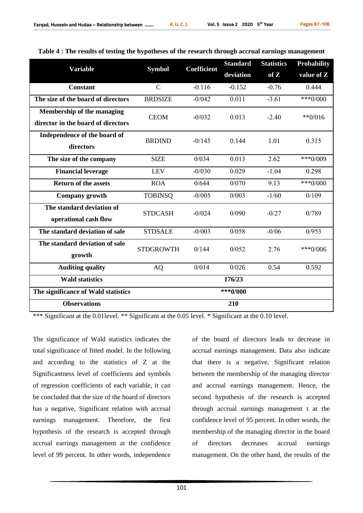|                                     | <b>Symbol</b>    | <b>Coefficient</b> | <b>Standard</b> | <b>Statistics</b> | <b>Probability</b> |
|-------------------------------------|------------------|--------------------|-----------------|-------------------|--------------------|
| <b>Variable</b>                     |                  |                    | deviation       | of Z              | value of Z         |
| <b>Constant</b>                     | $\mathcal{C}$    | $-0.116$           | $-0.152$        | $-0.76$           | 0.444              |
| The size of the board of directors  | <b>BRDSIZE</b>   | $-0/042$           | 0.011           | $-3.61$           | $***0/000$         |
| <b>Membership of the managing</b>   | <b>CEOM</b>      | $-0/032$           | 0.013           | $-2.40$           | $*$ *0/016         |
| director in the board of directors  |                  |                    |                 |                   |                    |
| Independence of the board of        | <b>BRDIND</b>    | $-0/145$           | 0.144           | 1.01              | 0.315              |
| directors                           |                  |                    |                 |                   |                    |
| The size of the company             | <b>SIZE</b>      | 0/034              | 0.013           | 2.62              | $***0/009$         |
| <b>Financial leverage</b>           | <b>LEV</b>       | $-0/030$           | 0.029           | $-1.04$           | 0.298              |
| <b>Return of the assets</b>         | <b>ROA</b>       | 0/644              | 0/070           | 9.13              | $***0/000$         |
| Company growth                      | <b>TOBINSQ</b>   | $-0/005$           | 0/003           | $-1/60$           | 0/109              |
| The standard deviation of           | <b>STDCASH</b>   | $-0/024$           | 0/090           | $-0/27$           | 0/789              |
| operational cash flow               |                  |                    |                 |                   |                    |
| The standard deviation of sale      | <b>STDSALE</b>   | $-0/003$           | 0/058           | $-0/06$           | 0/953              |
| The standard deviation of sale      | <b>STDGROWTH</b> | 0/144              | 0/052           | 2.76              | *** $0/006$        |
| growth                              |                  |                    |                 |                   |                    |
| <b>Auditing quality</b>             | <b>AQ</b>        | 0/014              | 0/026           | 0.54              | 0.592              |
| <b>Wald statistics</b>              |                  |                    | 176/23          |                   |                    |
| The significance of Wald statistics |                  |                    | $***0/000$      |                   |                    |
| <b>Observations</b>                 |                  |                    | 210             |                   |                    |

**Table 4 : The results of testing the hypotheses of the research through accrual earnings management**

\*\*\* Significant at the 0.01level. \*\* Significant at the 0.05 level. \* Significant at the 0.10 level.

The significance of Wald statistics indicates the total significance of fitted model. In the following and according to the statistics of Z at the Significantness level of coefficients and symbols of regression coefficients of each variable, it can be concluded that the size of the board of directors has a negative, Significant relation with accrual earnings management. Therefore, the first hypothesis of the research is accepted through accrual earrings management at the confidence level of 99 percent. In other words, independence

of the board of directors leads to decrease in accrual earnings management. Data also indicate that there is a negative, Significant relation between the membership of the managing director and accrual earnings management. Hence, the second hypothesis of the research is accepted through accrual earnings management t at the confidence level of 95 percent. In other words, the membership of the managing director in the board of directors decreases accrual earnings management. On the other hand, the results of the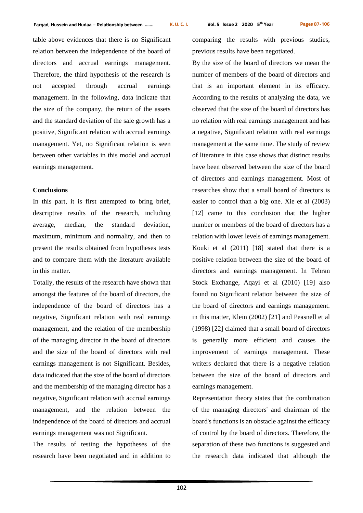table above evidences that there is no Significant relation between the independence of the board of directors and accrual earnings management. Therefore, the third hypothesis of the research is not accepted through accrual earnings management. In the following, data indicate that the size of the company, the return of the assets and the standard deviation of the sale growth has a positive, Significant relation with accrual earnings management. Yet, no Significant relation is seen between other variables in this model and accrual earnings management.

### **Conclusions**

In this part, it is first attempted to bring brief, descriptive results of the research, including average, median, the standard deviation, maximum, minimum and normality, and then to present the results obtained from hypotheses tests and to compare them with the literature available in this matter.

Totally, the results of the research have shown that amongst the features of the board of directors, the independence of the board of directors has a negative, Significant relation with real earnings management, and the relation of the membership of the managing director in the board of directors and the size of the board of directors with real earnings management is not Significant. Besides, data indicated that the size of the board of directors and the membership of the managing director has a negative, Significant relation with accrual earnings management, and the relation between the independence of the board of directors and accrual earnings management was not Significant.

The results of testing the hypotheses of the research have been negotiated and in addition to comparing the results with previous studies, previous results have been negotiated.

By the size of the board of directors we mean the number of members of the board of directors and that is an important element in its efficacy. According to the results of analyzing the data, we observed that the size of the board of directors has no relation with real earnings management and has a negative, Significant relation with real earnings management at the same time. The study of review of literature in this case shows that distinct results have been observed between the size of the board of directors and earnings management. Most of researches show that a small board of directors is easier to control than a big one. Xie et al (2003) [12] came to this conclusion that the higher number or members of the board of directors has a relation with lower levels of earnings management. Kouki et al (2011) [18] stated that there is a positive relation between the size of the board of directors and earnings management. In Tehran Stock Exchange, Aqayi et al (2010) [19] also found no Significant relation between the size of the board of directors and earnings management. in this matter, Klein (2002) [21] and Peasnell et al (1998) [22] claimed that a small board of directors is generally more efficient and causes the improvement of earnings management. These writers declared that there is a negative relation between the size of the board of directors and earnings management.

Representation theory states that the combination of the managing directors' and chairman of the board's functions is an obstacle against the efficacy of control by the board of directors. Therefore, the separation of these two functions is suggested and the research data indicated that although the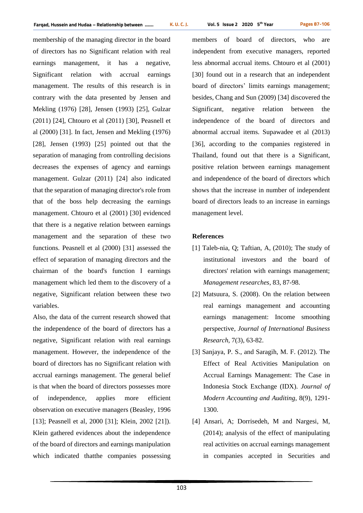membership of the managing director in the board of directors has no Significant relation with real earnings management, it has a negative, Significant relation with accrual earnings management. The results of this research is in contrary with the data presented by Jensen and Mekling (1976) [28], Jensen (1993) [25], Gulzar (2011) [24], Chtouro et al (2011) [30], Peasnell et al (2000) [31]. In fact, Jensen and Mekling (1976) [28], Jensen (1993) [25] pointed out that the separation of managing from controlling decisions decreases the expenses of agency and earnings management. Gulzar (2011) [24] also indicated that the separation of managing director's role from that of the boss help decreasing the earnings management. Chtouro et al (2001) [30] evidenced that there is a negative relation between earnings management and the separation of these two functions. Peasnell et al (2000) [31] assessed the effect of separation of managing directors and the chairman of the board's function I earnings management which led them to the discovery of a negative, Significant relation between these two variables.

Also, the data of the current research showed that the independence of the board of directors has a negative, Significant relation with real earnings management. However, the independence of the board of directors has no Significant relation with accrual earnings management. The general belief is that when the board of directors possesses more of independence, applies more efficient observation on executive managers (Beasley, 1996 [13]; Peasnell et al, 2000 [31]; Klein, 2002 [21]). Klein gathered evidences about the independence of the board of directors and earnings manipulation which indicated thatthe companies possessing members of board of directors, who are independent from executive managers, reported less abnormal accrual items. Chtouro et al (2001) [30] found out in a research that an independent board of directors' limits earnings management; besides, Chang and Sun (2009) [34] discovered the Significant, negative relation between the independence of the board of directors and abnormal accrual items. Supawadee et al (2013) [36], according to the companies registered in Thailand, found out that there is a Significant, positive relation between earnings management and independence of the board of directors which shows that the increase in number of independent board of directors leads to an increase in earnings management level.

## **References**

- [1] Taleb-nia, Q; Taftian, A, (2010); The study of institutional investors and the board of directors' relation with earnings management; *Management researches*, 83, 87-98.
- [2] Matsuura, S. (2008). On the relation between real earnings management and accounting earnings management: Income smoothing perspective*, Journal of International Business Research*, 7(3), 63-82.
- [3] Sanjaya, P. S., and Saragih, M. F. (2012). The Effect of Real Activities Manipulation on Accrual Earnings Management: The Case in Indonesia Stock Exchange (IDX). *Journal of Modern Accounting and Auditing*, 8(9), 1291- 1300.
- [4] Ansari, A; Dorrisedeh, M and Nargesi, M, (2014); analysis of the effect of manipulating real activities on accrual earnings management in companies accepted in Securities and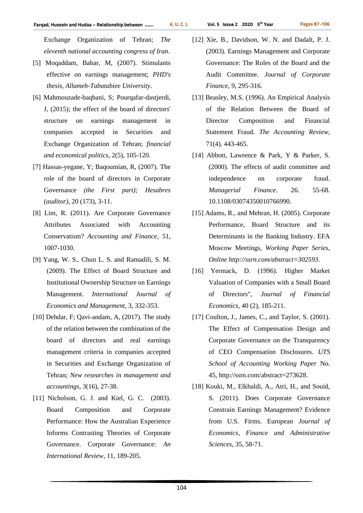Exchange Organization of Tehran; *The eleventh national accounting congress of Iran*.

- [5] Moqaddam, Bahar, M, (2007). Stimulants effective on earnings management; *PHD's thesis, Allameh-Tabatabiee University*.
- [6] Mahmouzade-baqbani, S; Pourqafar-dastjerdi, J, (2015); the effect of the board of directors' structure on earnings management in companies accepted in Securities and Exchange Organization of Tehran; *financial and economical politics*, 2(5), 105-120.
- [7] Hassas-yegane, Y; Baqoumian, R, (2007). The role of the board of directors in Corporate Governance *(the First part); Hesabres (auditor)*, 20 (173), 3-11.
- [8] Lim, R. (2011). Are Corporate Governance Attributes Associated with Accounting Conservatism? *Accounting and Finance*, 51, 1007-1030.
- [9] Yang, W. S., Chun L. S. and Ramadili, S. M. (2009). The Effect of Board Structure and Institutional Ownership Structure on Earnings Management. *International Journal of Economics and Management*, 3, 332-353.
- [10] Dehdar, F; Qavi-andam, A, (2017). The study of the relation between the combination of the board of directors and real earnings management criteria in companies accepted in Securities and Exchange Organization of Tehran; *New researches in management and accountings*, 3(16), 27-38.
- [11] Nicholson, G. J. and Kiel, G. C. (2003). Board Composition and Corporate Performance: How the Australian Experience Informs Contrasting Theories of Corporate Governance. Corporate Governance: *An International Review*, 11, 189-205.
- [12] Xie, B., Davidson, W. N. and Dadalt, P. J. (2003). Earnings Management and Corporate Governance: The Roles of the Board and the Audit Committee. *Journal of Corporate Finance*, 9, 295-316.
- [13] Beasley, M.S. (1996). An Empirical Analysis of the Relation Between the Board of Director Composition and Financial Statement Fraud. *The Accounting Review*, 71(4). 443-465.
- [14] Abbott, Lawrence & Park, Y & Parker, S. (2000). The effects of audit committee and independence on corporate fraud. *Managerial Finance*. 26. 55-68. 10.1108/03074350010766990.
- [15] Adams, R., and Mehran, H. (2005). Corporate Performance, Board Structure and its Determinants in the Banking Industry. EFA Moscow Meetings, *Working Paper Series, Online<http://ssrn.com/abstract=302593>*.
- [16] Yermack, D. (1996). Higher Market Valuation of Companies with a Small Board of Directors", *Journal of Financial Economics*, 40 (2), 185-211.
- [17] Coulton, J., James, C., and Taylor, S. (2001). The Effect of Compensation Design and Corporate Governance on the Transparency of CEO Compensation Disclosures. *UTS School of Accounting Working Paper* No. 45, [http://ssrn.com/abstract=273628.](http://ssrn.com/abstract=273628)
- [18] Kouki, M., Elkhaldi, A., Atri, H., and Souid, S. (2011). Does Corporate Governance Constrain Earnings Management? Evidence from U.S. Firms. European *Journal of Economics, Finance and Administrative Sciences*, 35, 58-71.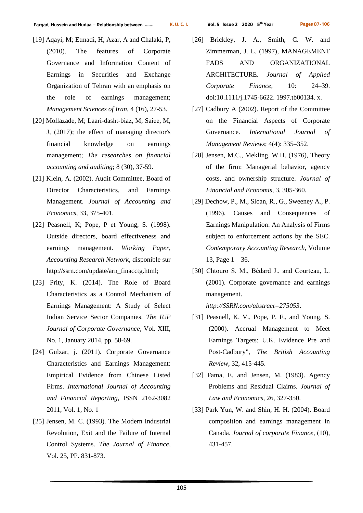- [19] Aqayi, M; Etmadi, H; Azar, A and Chalaki, P, (2010). The features of Corporate Governance and Information Content of Earnings in Securities and Exchange Organization of Tehran with an emphasis on the role of earnings management; *Management Sciences of Iran*, 4 (16), 27-53.
- [20] Mollazade, M; Laari-dasht-biaz, M; Saiee, M, J, (2017); the effect of managing director's financial knowledge on earnings management; *The researches on financial accounting and auditing*; 8 (30), 37-59.
- [21] Klein, A. (2002). Audit Committee, Board of Director Characteristics, and Earnings Management. *Journal of Accounting and Economics*, 33, 375-401.
- [22] Peasnell, K; Pope, P et Young, S. (1998). Outside directors, board effectiveness and earnings management. *Working Paper, Accounting Research Network*, disponible sur http://ssrn.com/update/arn\_finacctg.html;
- [23] Prity, K. (2014). The Role of Board Characteristics as a Control Mechanism of Earnings Management: A Study of Select Indian Service Sector Companies. *The IUP Journal of Corporate Governance*, Vol. XIII, No. 1, January 2014, pp. 58-69.
- [24] Gulzar, j. (2011). Corporate Governance Characteristics and Earnings Management: Empirical Evidence from Chinese Listed Firms. *International Journal of Accounting and Financial Reporting*, ISSN 2162-3082 2011, Vol. 1, No. 1
- [25] Jensen, M. C. (1993). The Modern Industrial Revolution, Exit and the Failure of Internal Control Systems. *The Journal of Finance*, Vol. 25, PP. 831-873.

- [26] Brickley, J. A., Smith, C. W. and Zimmerman, J. L. (1997), MANAGEMENT FADS AND ORGANIZATIONAL ARCHITECTURE. *Journal of Applied Corporate Finance*, 10: 24–39. doi:10.1111/j.1745-6622. 1997.tb00134. x.
- [27] Cadbury A (2002). Report of the Committee on the Financial Aspects of Corporate Governance. *International Journal of Management Reviews*; 4(4): 335–352.
- [28] Jensen, M.C., Mekling, W.H. (1976), Theory of the firm: Managerial behavior, agency costs, and ownership structure. *Journal of Financial and Economis*, 3, 305-360.
- [29] Dechow, P., M., Sloan, R., G., Sweeney A., P. (1996). Causes and Consequences of Earnings Manipulation: An Analysis of Firms subject to enforcement actions by the SEC. *Contemporary Accounting Research*, Volume 13, Page  $1 - 36$ .
- [30] Chtouro S. M., Bėdard J., and Courteau, L. (2001). Corporate governance and earnings management.

*[http://SSRN.com/abstract=275053](http://ssrn.com/abstract=275053)*.

- [31] Peasnell, K. V., Pope, P. F., and Young, S. (2000). Accrual Management to Meet Earnings Targets: U.K. Evidence Pre and Post-Cadbury", *The British Accounting Review*, 32, 415-445.
- [32] Fama, E. and Jensen, M. (1983). Agency Problems and Residual Claims. *Journal of Law and Economics*, 26, 327-350.
- [33] Park Yun, W. and Shin, H. H. (2004). Board composition and earnings management in Canada. *Journal of corporate Finance*, (10), 431-457.